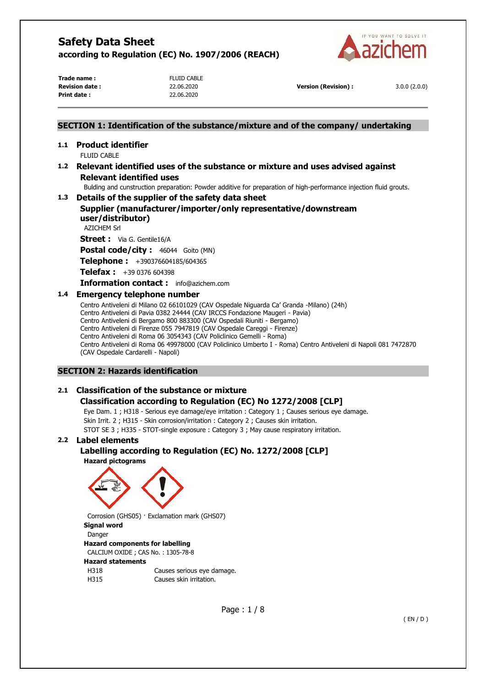

**Trade name :** FLUID CABLE **Print date :** 22.06.2020

**Revision date :** 22.06.2020 **Version (Revision) :** 3.0.0 (2.0.0)

# **SECTION 1: Identification of the substance/mixture and of the company/ undertaking 1.1 Product identifier FLUID CABLE 1.2 Relevant identified uses of the substance or mixture and uses advised against Relevant identified uses**  Bulding and cunstruction preparation: Powder additive for preparation of high-performance injection fluid grouts. **1.3 Details of the supplier of the safety data sheet Supplier (manufacturer/importer/only representative/downstream user/distributor)**  AZICHEM Srl **Street :** Via G. Gentile16/A **Postal code/city :** 46044 Goito (MN) **Telephone :** +390376604185/604365 **Telefax :** +39 0376 604398 **Information contact :** info@azichem.com **1.4 Emergency telephone number**  Centro Antiveleni di Milano 02 66101029 (CAV Ospedale Niguarda Ca' Granda -Milano) (24h) Centro Antiveleni di Pavia 0382 24444 (CAV IRCCS Fondazione Maugeri - Pavia)

Centro Antiveleni di Bergamo 800 883300 (CAV Ospedali Riuniti - Bergamo) Centro Antiveleni di Firenze 055 7947819 (CAV Ospedale Careggi - Firenze) Centro Antiveleni di Roma 06 3054343 (CAV Policlinico Gemelli - Roma) Centro Antiveleni di Roma 06 49978000 (CAV Policlinico Umberto I - Roma) Centro Antiveleni di Napoli 081 7472870 (CAV Ospedale Cardarelli - Napoli)

# **SECTION 2: Hazards identification**

# **2.1 Classification of the substance or mixture**

# **Classification according to Regulation (EC) No 1272/2008 [CLP]**

Eye Dam. 1 ; H318 - Serious eye damage/eye irritation : Category 1 ; Causes serious eye damage. Skin Irrit. 2 ; H315 - Skin corrosion/irritation : Category 2 ; Causes skin irritation. STOT SE 3 ; H335 - STOT-single exposure : Category 3 ; May cause respiratory irritation.

# **2.2 Label elements**

# **Labelling according to Regulation (EC) No. 1272/2008 [CLP]**





Corrosion (GHS05) · Exclamation mark (GHS07) **Signal word**  Danger **Hazard components for labelling**  CALCIUM OXIDE ; CAS No. : 1305-78-8 **Hazard statements** 

| H318 | Causes serious eye damage. |
|------|----------------------------|
| H315 | Causes skin irritation.    |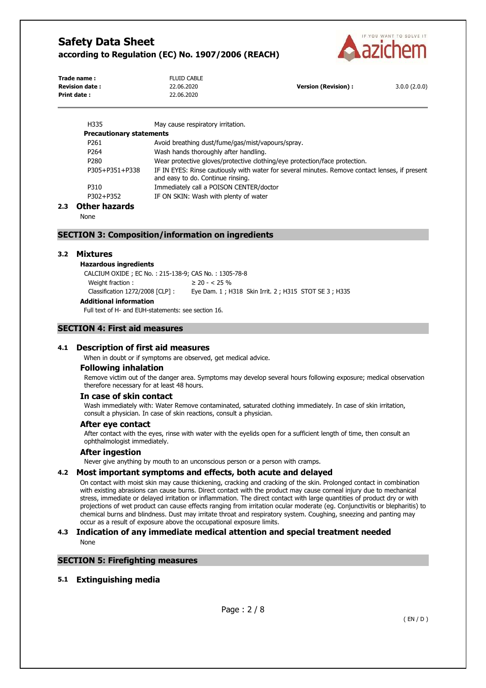

| Trade name:           | <b>FLUID CABLE</b> |                      |              |
|-----------------------|--------------------|----------------------|--------------|
| <b>Revision date:</b> | 22.06.2020         | Version (Revision) : | 3.0.0(2.0.0) |
| Print date :          | 22.06.2020         |                      |              |

| H335                            | May cause respiratory irritation.                                                                                                   |
|---------------------------------|-------------------------------------------------------------------------------------------------------------------------------------|
| <b>Precautionary statements</b> |                                                                                                                                     |
| P261                            | Avoid breathing dust/fume/gas/mist/vapours/spray.                                                                                   |
| P <sub>264</sub>                | Wash hands thoroughly after handling.                                                                                               |
| P <sub>280</sub>                | Wear protective gloves/protective clothing/eye protection/face protection.                                                          |
| P305+P351+P338                  | IF IN EYES: Rinse cautiously with water for several minutes. Remove contact lenses, if present<br>and easy to do. Continue rinsing. |
| P310                            | Immediately call a POISON CENTER/doctor                                                                                             |
| P302+P352                       | IF ON SKIN: Wash with plenty of water                                                                                               |

### **2.3 Other hazards**

None

### **SECTION 3: Composition/information on ingredients**

#### **3.2 Mixtures**

#### **Hazardous ingredients**

CALCIUM OXIDE ; EC No. : 215-138-9; CAS No. : 1305-78-8 Weight fraction :  $\geq 20 - < 25 \%$ Classification 1272/2008 [CLP] : Eye Dam. 1 ; H318 Skin Irrit. 2 ; H315 STOT SE 3 ; H335 **Additional information**

Full text of H- and EUH-statements: see section 16.

# **SECTION 4: First aid measures**

#### **4.1 Description of first aid measures**

When in doubt or if symptoms are observed, get medical advice.

#### **Following inhalation**

Remove victim out of the danger area. Symptoms may develop several hours following exposure; medical observation therefore necessary for at least 48 hours.

#### **In case of skin contact**

Wash immediately with: Water Remove contaminated, saturated clothing immediately. In case of skin irritation, consult a physician. In case of skin reactions, consult a physician.

#### **After eye contact**

After contact with the eyes, rinse with water with the eyelids open for a sufficient length of time, then consult an ophthalmologist immediately.

#### **After ingestion**

Never give anything by mouth to an unconscious person or a person with cramps.

#### **4.2 Most important symptoms and effects, both acute and delayed**

On contact with moist skin may cause thickening, cracking and cracking of the skin. Prolonged contact in combination with existing abrasions can cause burns. Direct contact with the product may cause corneal injury due to mechanical stress, immediate or delayed irritation or inflammation. The direct contact with large quantities of product dry or with projections of wet product can cause effects ranging from irritation ocular moderate (eg. Conjunctivitis or blepharitis) to chemical burns and blindness. Dust may irritate throat and respiratory system. Coughing, sneezing and panting may occur as a result of exposure above the occupational exposure limits.

### **4.3 Indication of any immediate medical attention and special treatment needed**  None

# **SECTION 5: Firefighting measures**

## **5.1 Extinguishing media**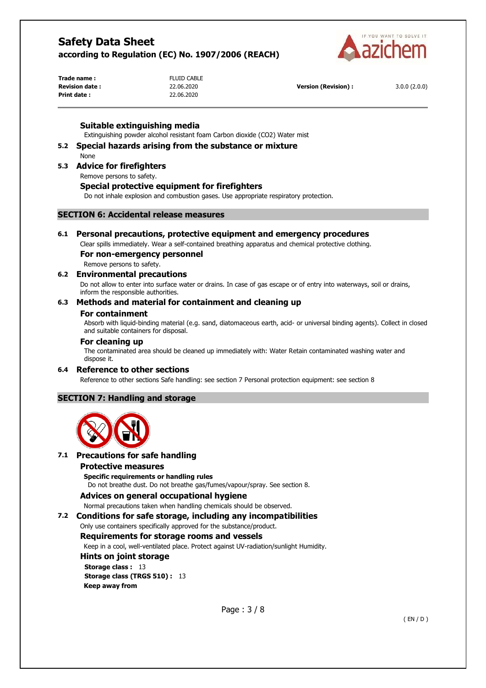

**Trade name :** FLUID CABLE **Print date :** 22.06.2020

**Revision date :** 22.06.2020 **Version (Revision) :** 3.0.0 (2.0.0)

## **Suitable extinguishing media**

Extinguishing powder alcohol resistant foam Carbon dioxide (CO2) Water mist

#### **5.2 Special hazards arising from the substance or mixture**  None

# **5.3 Advice for firefighters**

Remove persons to safety.

### **Special protective equipment for firefighters**

Do not inhale explosion and combustion gases. Use appropriate respiratory protection.

# **SECTION 6: Accidental release measures**

# **6.1 Personal precautions, protective equipment and emergency procedures**

Clear spills immediately. Wear a self-contained breathing apparatus and chemical protective clothing.

# **For non-emergency personnel**

Remove persons to safety.

### **6.2 Environmental precautions**

Do not allow to enter into surface water or drains. In case of gas escape or of entry into waterways, soil or drains, inform the responsible authorities.

## **6.3 Methods and material for containment and cleaning up**

#### **For containment**

Absorb with liquid-binding material (e.g. sand, diatomaceous earth, acid- or universal binding agents). Collect in closed and suitable containers for disposal.

#### **For cleaning up**

The contaminated area should be cleaned up immediately with: Water Retain contaminated washing water and dispose it.

# **6.4 Reference to other sections**

Reference to other sections Safe handling: see section 7 Personal protection equipment: see section 8

# **SECTION 7: Handling and storage**



# **7.1 Precautions for safe handling**

#### **Protective measures**

**Specific requirements or handling rules** 

Do not breathe dust. Do not breathe gas/fumes/vapour/spray. See section 8.

# **Advices on general occupational hygiene**

Normal precautions taken when handling chemicals should be observed.

#### **7.2 Conditions for safe storage, including any incompatibilities**

Only use containers specifically approved for the substance/product.

# **Requirements for storage rooms and vessels**

Keep in a cool, well-ventilated place. Protect against UV-radiation/sunlight Humidity.

**Hints on joint storage Storage class : 13 Storage class (TRGS 510) :** 13 **Keep away from**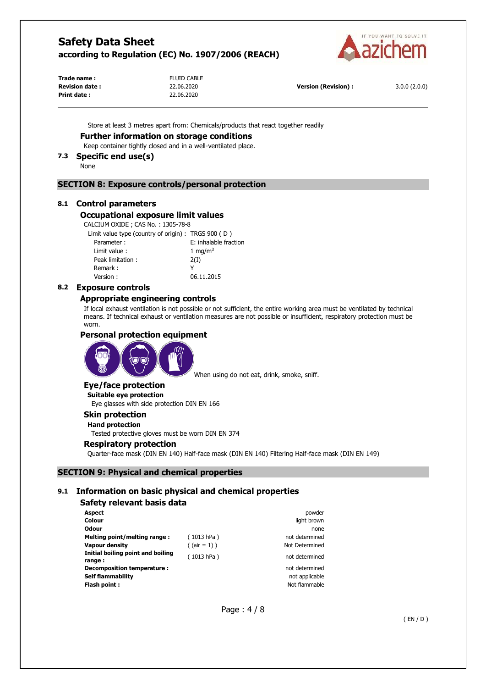

**Trade name :** FLUID CABLE **Print date :** 22.06.2020

**Revision date :** 22.06.2020 **Version (Revision) :** 3.0.0 (2.0.0)

Store at least 3 metres apart from: Chemicals/products that react together readily

## **Further information on storage conditions**

Keep container tightly closed and in a well-ventilated place.

# **7.3 Specific end use(s)**

None

## **SECTION 8: Exposure controls/personal protection**

### **8.1 Control parameters**

#### **Occupational exposure limit values**

CALCIUM OXIDE ; CAS No. : 1305-78-8

| Limit value type (country of origin) : TRGS 900 (D) |  |  |  |  |  |
|-----------------------------------------------------|--|--|--|--|--|
|-----------------------------------------------------|--|--|--|--|--|

| Parameter:       | E: inhalable fraction |
|------------------|-----------------------|
| Limit value:     | 1 mg/m <sup>3</sup>   |
| Peak limitation: | 2(I)                  |
| Remark:          |                       |
| Version:         | 06.11.2015            |

#### **8.2 Exposure controls**

### **Appropriate engineering controls**

If local exhaust ventilation is not possible or not sufficient, the entire working area must be ventilated by technical means. If technical exhaust or ventilation measures are not possible or insufficient, respiratory protection must be worn.

## **Personal protection equipment**



When using do not eat, drink, smoke, sniff.

# **Eye/face protection**

**Suitable eye protection**  Eye glasses with side protection DIN EN 166

# **Skin protection**

**Hand protection** 

Tested protective gloves must be worn DIN EN 374

#### **Respiratory protection**

Quarter-face mask (DIN EN 140) Half-face mask (DIN EN 140) Filtering Half-face mask (DIN EN 149)

## **SECTION 9: Physical and chemical properties**

### **9.1 Information on basic physical and chemical properties**

# **Safety relevant basis data**

| <b>Aspect</b>                               |                 | powder         |
|---------------------------------------------|-----------------|----------------|
| Colour                                      |                 | light brown    |
| <b>Odour</b>                                |                 | none           |
| Melting point/melting range:                | (1013 hPa)      | not determined |
| Vapour density                              | $($ (air = 1) ) | Not Determined |
| Initial boiling point and boiling<br>range: | (1013 hPa)      | not determined |
| Decomposition temperature :                 |                 | not determined |
| <b>Self flammability</b>                    |                 | not applicable |
| Flash point:                                |                 | Not flammable  |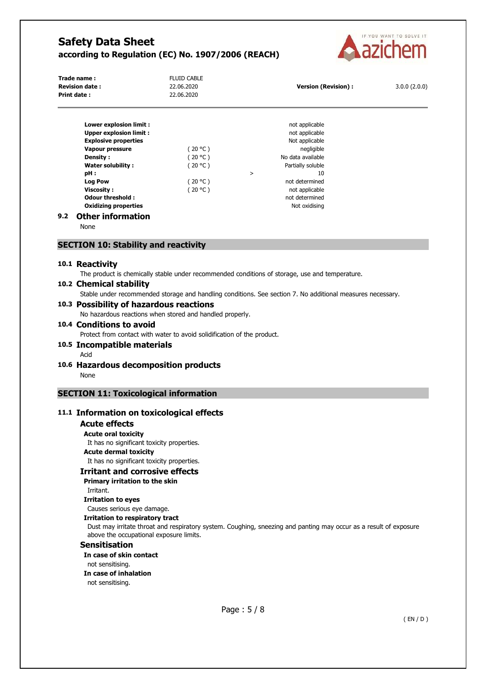

| Trade name:<br><b>Revision date:</b> | <b>FLUID CABLE</b><br>22.06.2020 | Version (Revision) : | 3.0.0(2.0.0) |
|--------------------------------------|----------------------------------|----------------------|--------------|
| <b>Print date:</b>                   | 22.06.2020                       |                      |              |
|                                      |                                  |                      |              |

| Lower explosion limit :               |         |        | not applicable    |
|---------------------------------------|---------|--------|-------------------|
| <b>Upper explosion limit:</b>         |         |        | not applicable    |
| <b>Explosive properties</b>           |         |        | Not applicable    |
| <b>Vapour pressure</b>                | (20 °C) |        | negligible        |
| Density :                             | (20 °C) |        | No data available |
| Water solubility:                     | (20 °C) |        | Partially soluble |
| pH :                                  |         | $\geq$ | 10                |
| <b>Log Pow</b>                        | (20 °C) |        | not determined    |
| <b>Viscosity:</b>                     | (20 °C) |        | not applicable    |
| Odour threshold:                      |         |        | not determined    |
| <b>Oxidizing properties</b>           |         |        | Not oxidising     |
| 011 - - - - - - - - - - - - - - - - - |         |        |                   |

# **9.2 Other information**

None

## **SECTION 10: Stability and reactivity**

#### **10.1 Reactivity**

The product is chemically stable under recommended conditions of storage, use and temperature.

## **10.2 Chemical stability**

Stable under recommended storage and handling conditions. See section 7. No additional measures necessary.

#### **10.3 Possibility of hazardous reactions**

No hazardous reactions when stored and handled properly.

## **10.4 Conditions to avoid**

Protect from contact with water to avoid solidification of the product.

# **10.5 Incompatible materials**

- Acid
- **10.6 Hazardous decomposition products**  None

# **SECTION 11: Toxicological information**

## **11.1 Information on toxicological effects**

#### **Acute effects**

**Acute oral toxicity**  It has no significant toxicity properties. **Acute dermal toxicity**  It has no significant toxicity properties.

**Irritant and corrosive effects** 

## **Primary irritation to the skin**

Irritant.

**Irritation to eyes** 

Causes serious eye damage.

#### **Irritation to respiratory tract**

Dust may irritate throat and respiratory system. Coughing, sneezing and panting may occur as a result of exposure above the occupational exposure limits.

# **Sensitisation**

**In case of skin contact** 

not sensitising.

#### **In case of inhalation**

not sensitising.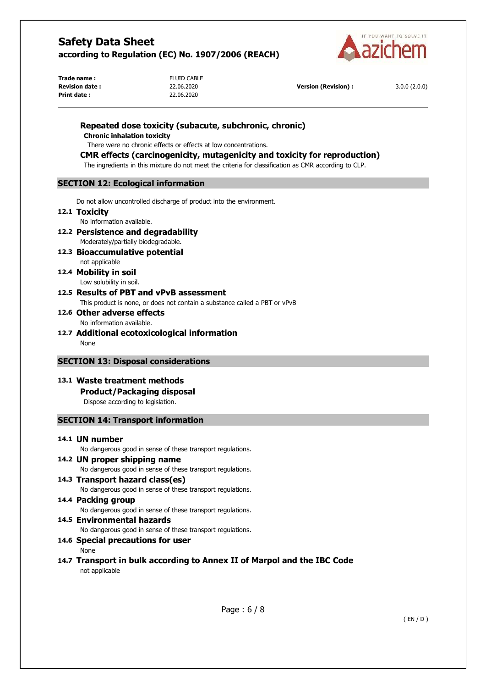

**Trade name :** FLUID CABLE **Print date :** 22.06.2020

**Revision date :** 22.06.2020 **Version (Revision) :** 3.0.0 (2.0.0)

# **Repeated dose toxicity (subacute, subchronic, chronic)**

**Chronic inhalation toxicity** 

There were no chronic effects or effects at low concentrations.

# **CMR effects (carcinogenicity, mutagenicity and toxicity for reproduction)**

The ingredients in this mixture do not meet the criteria for classification as CMR according to CLP.

# **SECTION 12: Ecological information**

Do not allow uncontrolled discharge of product into the environment.

### **12.1 Toxicity**

No information available.

- **12.2 Persistence and degradability**  Moderately/partially biodegradable.
- **12.3 Bioaccumulative potential**  not applicable
- **12.4 Mobility in soil**  Low solubility in soil.
- **12.5 Results of PBT and vPvB assessment**  This product is none, or does not contain a substance called a PBT or vPvB

# **12.6 Other adverse effects**  No information available.

**12.7 Additional ecotoxicological information**  None

# **SECTION 13: Disposal considerations**

**13.1 Waste treatment methods Product/Packaging disposal** 

Dispose according to legislation.

# **SECTION 14: Transport information**

# **14.1 UN number**

No dangerous good in sense of these transport regulations.

- **14.2 UN proper shipping name**  No dangerous good in sense of these transport regulations.
- **14.3 Transport hazard class(es)**  No dangerous good in sense of these transport regulations.
- **14.4 Packing group**  No dangerous good in sense of these transport regulations. **14.5 Environmental hazards**

No dangerous good in sense of these transport regulations.

# **14.6 Special precautions for user**

None

**14.7 Transport in bulk according to Annex II of Marpol and the IBC Code**  not applicable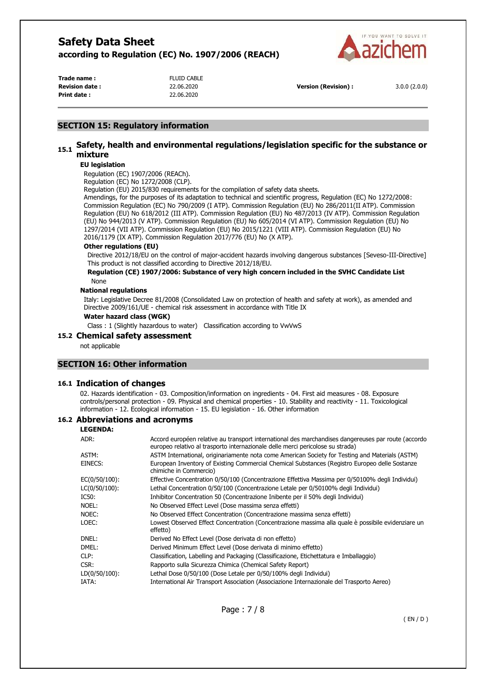

**Trade name :** FLUID CABLE **Print date :** 22.06.2020

**Revision date :** 22.06.2020 **Version (Revision) :** 3.0.0 (2.0.0)

# **SECTION 15: Regulatory information**

# **15.1 Safety, health and environmental regulations/legislation specific for the substance or mixture**

## **EU legislation**

Regulation (EC) 1907/2006 (REACh).

Regulation (EC) No 1272/2008 (CLP).

Regulation (EU) 2015/830 requirements for the compilation of safety data sheets.

Amendings, for the purposes of its adaptation to technical and scientific progress, Regulation (EC) No 1272/2008: Commission Regulation (EC) No 790/2009 (I ATP). Commission Regulation (EU) No 286/2011(II ATP). Commission Regulation (EU) No 618/2012 (III ATP). Commission Regulation (EU) No 487/2013 (IV ATP). Commission Regulation (EU) No 944/2013 (V ATP). Commission Regulation (EU) No 605/2014 (VI ATP). Commission Regulation (EU) No 1297/2014 (VII ATP). Commission Regulation (EU) No 2015/1221 (VIII ATP). Commission Regulation (EU) No 2016/1179 (IX ATP). Commission Regulation 2017/776 (EU) No (X ATP).

#### **Other regulations (EU)**

Directive 2012/18/EU on the control of major-accident hazards involving dangerous substances [Seveso-III-Directive] This product is not classified according to Directive 2012/18/EU.

#### **Regulation (CE) 1907/2006: Substance of very high concern included in the SVHC Candidate List**  None

#### **National regulations**

Italy: Legislative Decree 81/2008 (Consolidated Law on protection of health and safety at work), as amended and Directive 2009/161/UE - chemical risk assessment in accordance with Title IX

#### **Water hazard class (WGK)**

Class : 1 (Slightly hazardous to water) Classification according to VwVwS

#### **15.2 Chemical safety assessment**

not applicable

# **SECTION 16: Other information**

#### **16.1 Indication of changes**

02. Hazards identification - 03. Composition/information on ingredients - 04. First aid measures - 08. Exposure controls/personal protection - 09. Physical and chemical properties - 10. Stability and reactivity - 11. Toxicological information - 12. Ecological information - 15. EU legislation - 16. Other information

# **16.2 Abbreviations and acronyms**

**LEGENDA:**

| ADR:             | Accord européen relative au transport international des marchandises dangereuses par route (accordo<br>europeo relativo al trasporto internazionale delle merci pericolose su strada) |
|------------------|---------------------------------------------------------------------------------------------------------------------------------------------------------------------------------------|
| ASTM:            | ASTM International, originariamente nota come American Society for Testing and Materials (ASTM)                                                                                       |
| EINECS:          | European Inventory of Existing Commercial Chemical Substances (Registro Europeo delle Sostanze<br>chimiche in Commercio)                                                              |
| $EC(0/50/100)$ : | Effective Concentration 0/50/100 (Concentrazione Effettiva Massima per 0/50100% degli Individui)                                                                                      |
| $LC(0/50/100)$ : | Lethal Concentration 0/50/100 (Concentrazione Letale per 0/50100% degli Individui)                                                                                                    |
| IC50:            | Inhibitor Concentration 50 (Concentrazione Inibente per il 50% degli Individui)                                                                                                       |
| NOEL:            | No Observed Effect Level (Dose massima senza effetti)                                                                                                                                 |
| NOEC:            | No Observed Effect Concentration (Concentrazione massima senza effetti)                                                                                                               |
| LOEC:            | Lowest Observed Effect Concentration (Concentrazione massima alla quale è possibile evidenziare un<br>effetto)                                                                        |
| DNEL:            | Derived No Effect Level (Dose derivata di non effetto)                                                                                                                                |
| DMEL:            | Derived Minimum Effect Level (Dose derivata di minimo effetto)                                                                                                                        |
| CLP:             | Classification, Labelling and Packaging (Classificazione, Etichettatura e Imballaggio)                                                                                                |
| CSR:             | Rapporto sulla Sicurezza Chimica (Chemical Safety Report)                                                                                                                             |
| $LD(0/50/100)$ : | Lethal Dose 0/50/100 (Dose Letale per 0/50/100% degli Individui)                                                                                                                      |
| IATA:            | International Air Transport Association (Associazione Internazionale del Trasporto Aereo)                                                                                             |